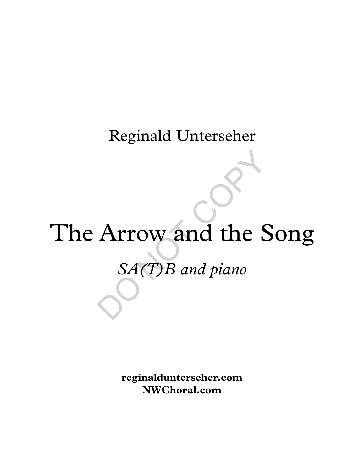Reginald Unterseher

## Arrow and the S<br>SA(T)B and piano The Arrow and the Song *SA(T)B and piano*

**reginaldunterseher.com NWChoral.com**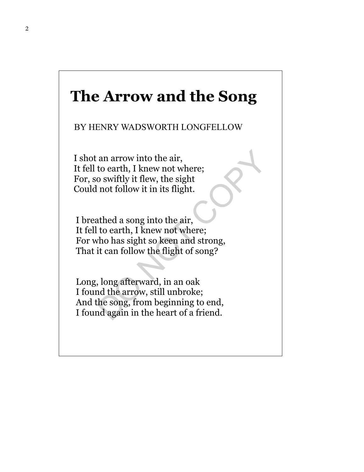## **The Arrow and the Song**

BY HENRY WADSWORTH LONGFELLOW

 I shot an arrow into the air, It fell to earth, I knew not where; For, so swiftly it flew, the sight Could not follow it in its flight.

an arrow into the air,<br>to earth, I knew not where;<br>o swiftly it flew, the sight<br>not follow it in its flight.<br>athed a song into the air,<br>to earth, I knew not where;<br>tho has sight so keen and strong,<br>it can follow the flight I breathed a song into the air, It fell to earth, I knew not where; For who has sight so keen and strong, That it can follow the flight of song?

 Long, long afterward, in an oak I found the arrow, still unbroke; And the song, from beginning to end, I found again in the heart of a friend.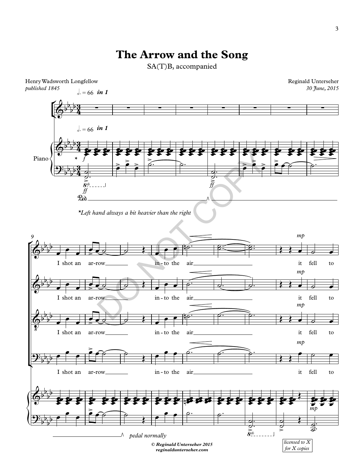## **The Arrow and the Song**

SA(T)B, accompanied



*<sup>\*</sup>Left hand always a bit heavier than the right*

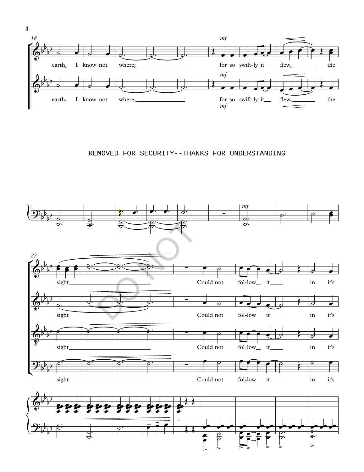

REMOVED FOR SECURITY--THANKS FOR UNDERSTANDING



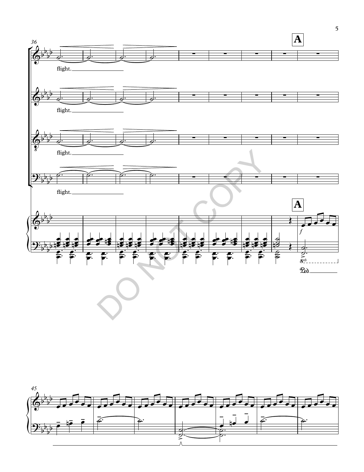

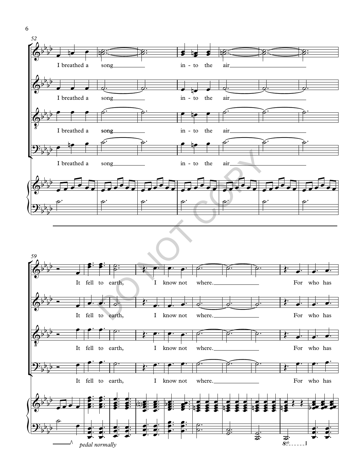

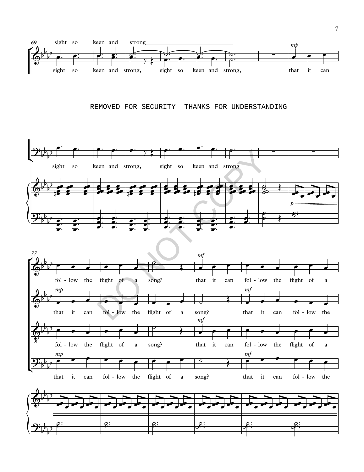

REMOVED FOR SECURITY--THANKS FOR UNDERSTANDING



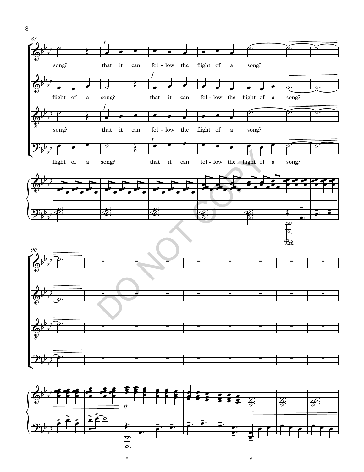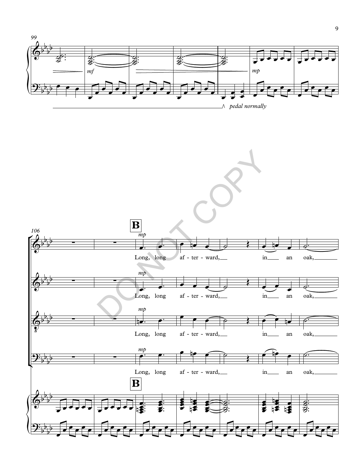

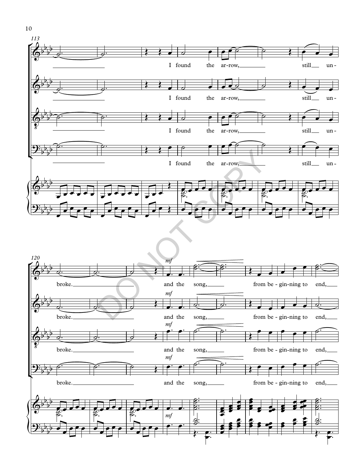

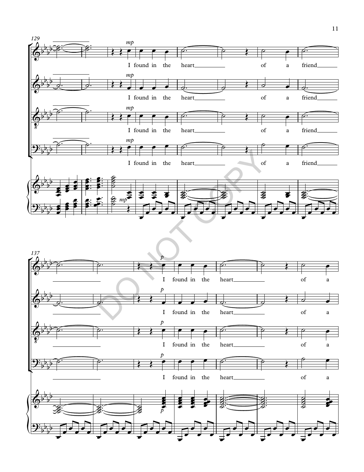